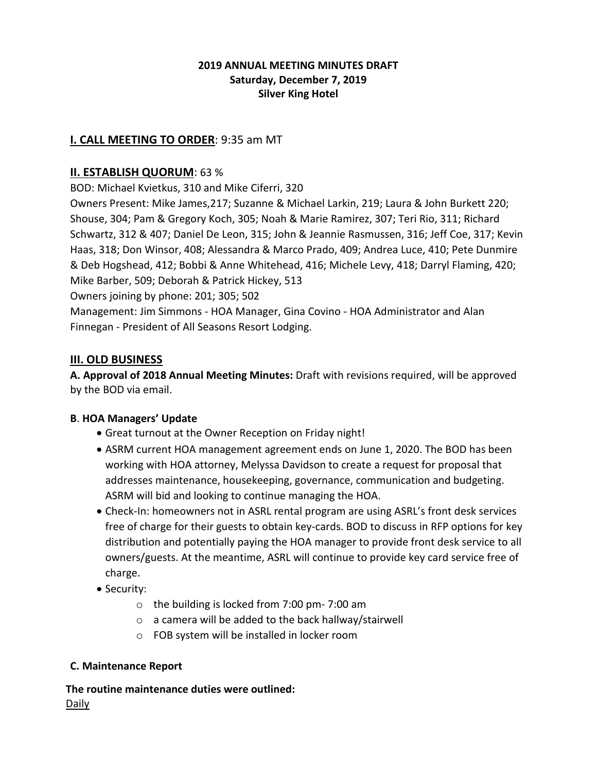### **2019 ANNUAL MEETING MINUTES DRAFT Saturday, December 7, 2019 Silver King Hotel**

## **I. CALL MEETING TO ORDER**: 9:35 am MT

## **II. ESTABLISH QUORUM**: 63 %

BOD: Michael Kvietkus, 310 and Mike Ciferri, 320

Owners Present: Mike James,217; Suzanne & Michael Larkin, 219; Laura & John Burkett 220; Shouse, 304; Pam & Gregory Koch, 305; Noah & Marie Ramirez, 307; Teri Rio, 311; Richard Schwartz, 312 & 407; Daniel De Leon, 315; John & Jeannie Rasmussen, 316; Jeff Coe, 317; Kevin Haas, 318; Don Winsor, 408; Alessandra & Marco Prado, 409; Andrea Luce, 410; Pete Dunmire & Deb Hogshead, 412; Bobbi & Anne Whitehead, 416; Michele Levy, 418; Darryl Flaming, 420; Mike Barber, 509; Deborah & Patrick Hickey, 513

Owners joining by phone: 201; 305; 502

Management: Jim Simmons - HOA Manager, Gina Covino - HOA Administrator and Alan Finnegan - President of All Seasons Resort Lodging.

### **III. OLD BUSINESS**

**A. Approval of 2018 Annual Meeting Minutes:** Draft with revisions required, will be approved by the BOD via email.

### **B**. **HOA Managers' Update**

- Great turnout at the Owner Reception on Friday night!
- ASRM current HOA management agreement ends on June 1, 2020. The BOD has been working with HOA attorney, Melyssa Davidson to create a request for proposal that addresses maintenance, housekeeping, governance, communication and budgeting. ASRM will bid and looking to continue managing the HOA.
- Check-In: homeowners not in ASRL rental program are using ASRL's front desk services free of charge for their guests to obtain key-cards. BOD to discuss in RFP options for key distribution and potentially paying the HOA manager to provide front desk service to all owners/guests. At the meantime, ASRL will continue to provide key card service free of charge.
- Security:
	- o the building is locked from 7:00 pm- 7:00 am
	- o a camera will be added to the back hallway/stairwell
	- o FOB system will be installed in locker room

### **C. Maintenance Report**

**The routine maintenance duties were outlined:** Daily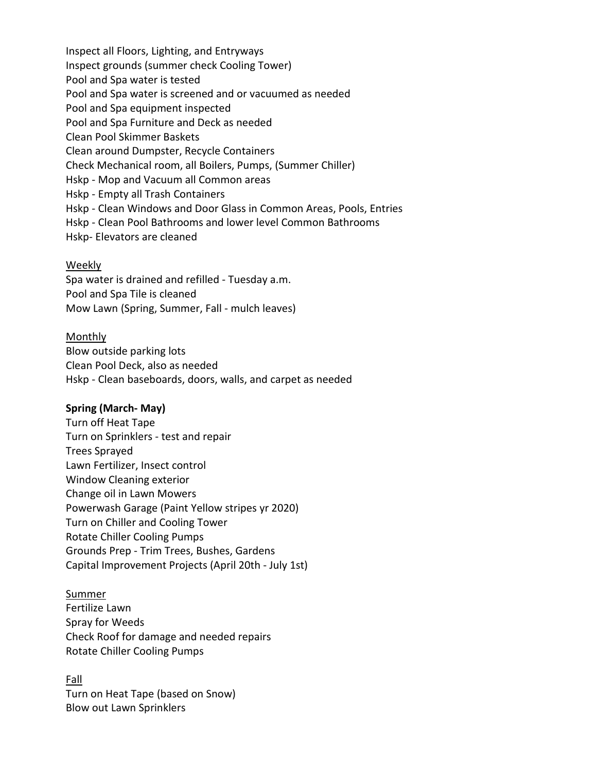Inspect all Floors, Lighting, and Entryways Inspect grounds (summer check Cooling Tower) Pool and Spa water is tested Pool and Spa water is screened and or vacuumed as needed Pool and Spa equipment inspected Pool and Spa Furniture and Deck as needed Clean Pool Skimmer Baskets Clean around Dumpster, Recycle Containers Check Mechanical room, all Boilers, Pumps, (Summer Chiller) Hskp - Mop and Vacuum all Common areas Hskp - Empty all Trash Containers Hskp - Clean Windows and Door Glass in Common Areas, Pools, Entries Hskp - Clean Pool Bathrooms and lower level Common Bathrooms Hskp- Elevators are cleaned

#### Weekly

Spa water is drained and refilled - Tuesday a.m. Pool and Spa Tile is cleaned Mow Lawn (Spring, Summer, Fall - mulch leaves)

#### **Monthly**

Blow outside parking lots Clean Pool Deck, also as needed Hskp - Clean baseboards, doors, walls, and carpet as needed

#### **Spring (March- May)**

Turn off Heat Tape Turn on Sprinklers - test and repair Trees Sprayed Lawn Fertilizer, Insect control Window Cleaning exterior Change oil in Lawn Mowers Powerwash Garage (Paint Yellow stripes yr 2020) Turn on Chiller and Cooling Tower Rotate Chiller Cooling Pumps Grounds Prep - Trim Trees, Bushes, Gardens Capital Improvement Projects (April 20th - July 1st)

### Summer

Fertilize Lawn Spray for Weeds Check Roof for damage and needed repairs Rotate Chiller Cooling Pumps

### Fall

Turn on Heat Tape (based on Snow) Blow out Lawn Sprinklers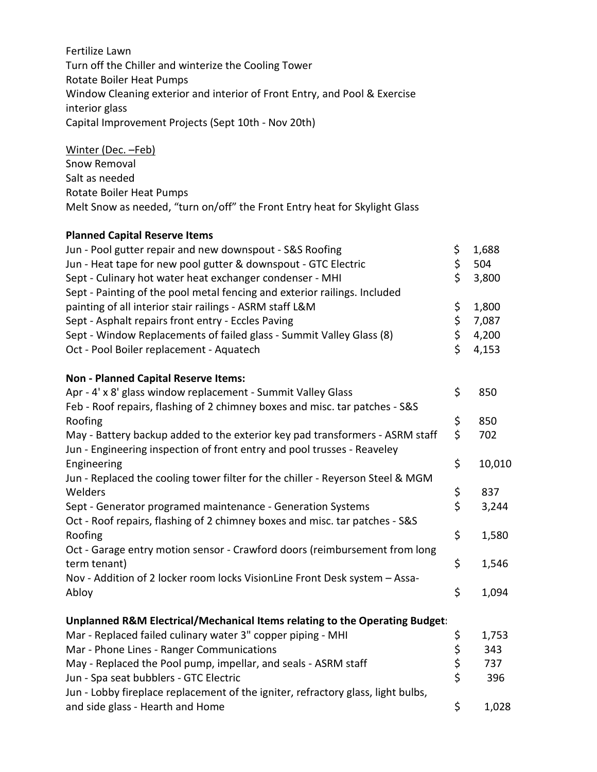Fertilize Lawn Turn off the Chiller and winterize the Cooling Tower Rotate Boiler Heat Pumps Window Cleaning exterior and interior of Front Entry, and Pool & Exercise interior glass Capital Improvement Projects (Sept 10th - Nov 20th)

Winter (Dec. –Feb) Snow Removal Salt as needed Rotate Boiler Heat Pumps Melt Snow as needed, "turn on/off" the Front Entry heat for Skylight Glass

#### **Planned Capital Reserve Items**

| Jun - Pool gutter repair and new downspout - S&S Roofing                         | \$             | 1,688<br>504 |
|----------------------------------------------------------------------------------|----------------|--------------|
| Jun - Heat tape for new pool gutter & downspout - GTC Electric                   | \$             |              |
| Sept - Culinary hot water heat exchanger condenser - MHI                         | \$             | 3,800        |
| Sept - Painting of the pool metal fencing and exterior railings. Included        |                |              |
| painting of all interior stair railings - ASRM staff L&M                         | \$             | 1,800        |
| Sept - Asphalt repairs front entry - Eccles Paving                               | \$             | 7,087        |
| Sept - Window Replacements of failed glass - Summit Valley Glass (8)             | \$             | 4,200        |
| Oct - Pool Boiler replacement - Aquatech                                         | \$             | 4,153        |
| <b>Non - Planned Capital Reserve Items:</b>                                      |                |              |
| Apr - 4' x 8' glass window replacement - Summit Valley Glass                     | \$             | 850          |
| Feb - Roof repairs, flashing of 2 chimney boxes and misc. tar patches - S&S      |                |              |
| Roofing                                                                          | \$             | 850          |
| May - Battery backup added to the exterior key pad transformers - ASRM staff     | \$             | 702          |
| Jun - Engineering inspection of front entry and pool trusses - Reaveley          |                |              |
| Engineering                                                                      | \$             | 10,010       |
| Jun - Replaced the cooling tower filter for the chiller - Reyerson Steel & MGM   |                |              |
| Welders                                                                          | \$             | 837          |
| Sept - Generator programed maintenance - Generation Systems                      | \$             | 3,244        |
| Oct - Roof repairs, flashing of 2 chimney boxes and misc. tar patches - S&S      |                |              |
| Roofing                                                                          | \$             | 1,580        |
| Oct - Garage entry motion sensor - Crawford doors (reimbursement from long       |                |              |
| term tenant)                                                                     | \$             | 1,546        |
| Nov - Addition of 2 locker room locks VisionLine Front Desk system - Assa-       |                |              |
|                                                                                  | \$             | 1,094        |
| Abloy                                                                            |                |              |
| Unplanned R&M Electrical/Mechanical Items relating to the Operating Budget:      |                |              |
| Mar - Replaced failed culinary water 3" copper piping - MHI                      | \$             | 1,753        |
| Mar - Phone Lines - Ranger Communications                                        |                | 343          |
| May - Replaced the Pool pump, impellar, and seals - ASRM staff                   | \$<br>\$<br>\$ | 737          |
| Jun - Spa seat bubblers - GTC Electric                                           |                | 396          |
| Jun - Lobby fireplace replacement of the igniter, refractory glass, light bulbs, |                |              |

and side glass - Hearth and Home **by a struck of the set of the set of the set of the set of the set of the set o**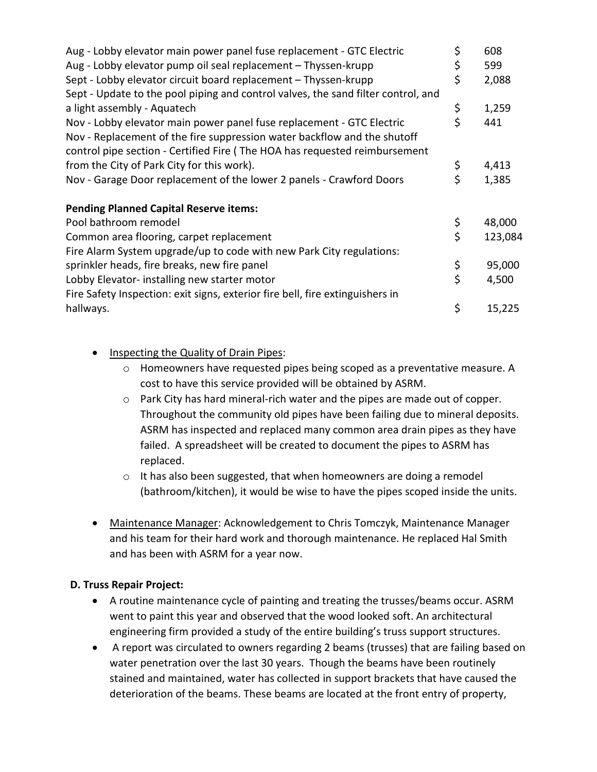| Aug - Lobby elevator main power panel fuse replacement - GTC Electric             | \$ | 608     |
|-----------------------------------------------------------------------------------|----|---------|
| Aug - Lobby elevator pump oil seal replacement - Thyssen-krupp                    | \$ | 599     |
| Sept - Lobby elevator circuit board replacement - Thyssen-krupp                   | \$ | 2,088   |
| Sept - Update to the pool piping and control valves, the sand filter control, and |    |         |
| a light assembly - Aquatech                                                       | \$ | 1,259   |
| Nov - Lobby elevator main power panel fuse replacement - GTC Electric             | Ś  | 441     |
| Nov - Replacement of the fire suppression water backflow and the shutoff          |    |         |
| control pipe section - Certified Fire (The HOA has requested reimbursement        |    |         |
| from the City of Park City for this work).                                        | \$ | 4,413   |
| Nov - Garage Door replacement of the lower 2 panels - Crawford Doors              | \$ | 1,385   |
| <b>Pending Planned Capital Reserve items:</b>                                     |    |         |
| Pool bathroom remodel                                                             | \$ | 48,000  |
| Common area flooring, carpet replacement                                          | \$ | 123,084 |
| Fire Alarm System upgrade/up to code with new Park City regulations:              |    |         |
| sprinkler heads, fire breaks, new fire panel                                      | \$ | 95,000  |
| Lobby Elevator-installing new starter motor                                       | \$ | 4,500   |
| Fire Safety Inspection: exit signs, exterior fire bell, fire extinguishers in     |    |         |
| hallways.                                                                         | \$ | 15,225  |

- **Inspecting the Quality of Drain Pipes:** 
	- $\circ$  Homeowners have requested pipes being scoped as a preventative measure. A cost to have this service provided will be obtained by ASRM.
	- o Park City has hard mineral-rich water and the pipes are made out of copper. Throughout the community old pipes have been failing due to mineral deposits. ASRM has inspected and replaced many common area drain pipes as they have failed. A spreadsheet will be created to document the pipes to ASRM has replaced.
	- o It has also been suggested, that when homeowners are doing a remodel (bathroom/kitchen), it would be wise to have the pipes scoped inside the units.
- Maintenance Manager: Acknowledgement to Chris Tomczyk, Maintenance Manager and his team for their hard work and thorough maintenance. He replaced Hal Smith and has been with ASRM for a year now.

### **D. Truss Repair Project:**

- A routine maintenance cycle of painting and treating the trusses/beams occur. ASRM went to paint this year and observed that the wood looked soft. An architectural engineering firm provided a study of the entire building's truss support structures.
- A report was circulated to owners regarding 2 beams (trusses) that are failing based on water penetration over the last 30 years. Though the beams have been routinely stained and maintained, water has collected in support brackets that have caused the deterioration of the beams. These beams are located at the front entry of property,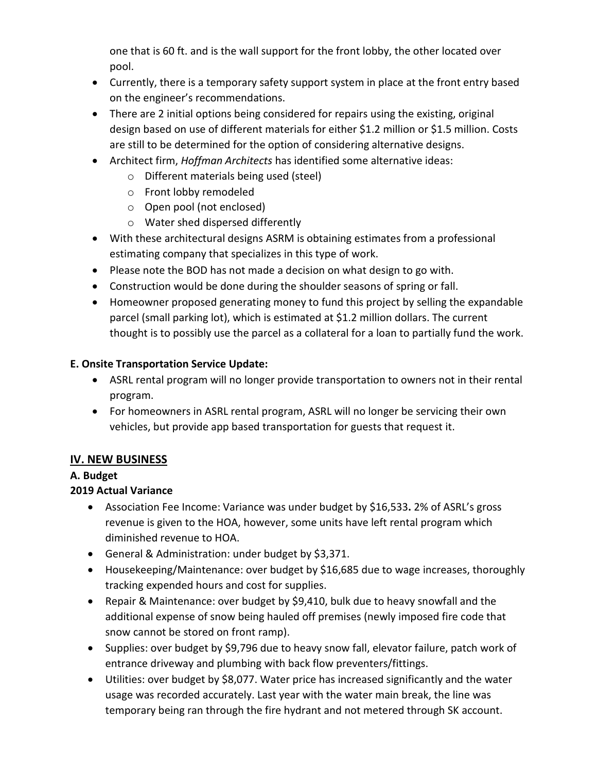one that is 60 ft. and is the wall support for the front lobby, the other located over pool.

- Currently, there is a temporary safety support system in place at the front entry based on the engineer's recommendations.
- There are 2 initial options being considered for repairs using the existing, original design based on use of different materials for either \$1.2 million or \$1.5 million. Costs are still to be determined for the option of considering alternative designs.
- Architect firm, *Hoffman Architects* has identified some alternative ideas:
	- o Different materials being used (steel)
	- o Front lobby remodeled
	- o Open pool (not enclosed)
	- o Water shed dispersed differently
- With these architectural designs ASRM is obtaining estimates from a professional estimating company that specializes in this type of work.
- Please note the BOD has not made a decision on what design to go with.
- Construction would be done during the shoulder seasons of spring or fall.
- Homeowner proposed generating money to fund this project by selling the expandable parcel (small parking lot), which is estimated at \$1.2 million dollars. The current thought is to possibly use the parcel as a collateral for a loan to partially fund the work.

## **E. Onsite Transportation Service Update:**

- ASRL rental program will no longer provide transportation to owners not in their rental program.
- For homeowners in ASRL rental program, ASRL will no longer be servicing their own vehicles, but provide app based transportation for guests that request it.

# **IV. NEW BUSINESS**

### **A. Budget**

# **2019 Actual Variance**

- Association Fee Income: Variance was under budget by \$16,533**.** 2% of ASRL's gross revenue is given to the HOA, however, some units have left rental program which diminished revenue to HOA.
- General & Administration: under budget by \$3,371.
- Housekeeping/Maintenance: over budget by \$16,685 due to wage increases, thoroughly tracking expended hours and cost for supplies.
- Repair & Maintenance: over budget by \$9,410, bulk due to heavy snowfall and the additional expense of snow being hauled off premises (newly imposed fire code that snow cannot be stored on front ramp).
- Supplies: over budget by \$9,796 due to heavy snow fall, elevator failure, patch work of entrance driveway and plumbing with back flow preventers/fittings.
- Utilities: over budget by \$8,077. Water price has increased significantly and the water usage was recorded accurately. Last year with the water main break, the line was temporary being ran through the fire hydrant and not metered through SK account.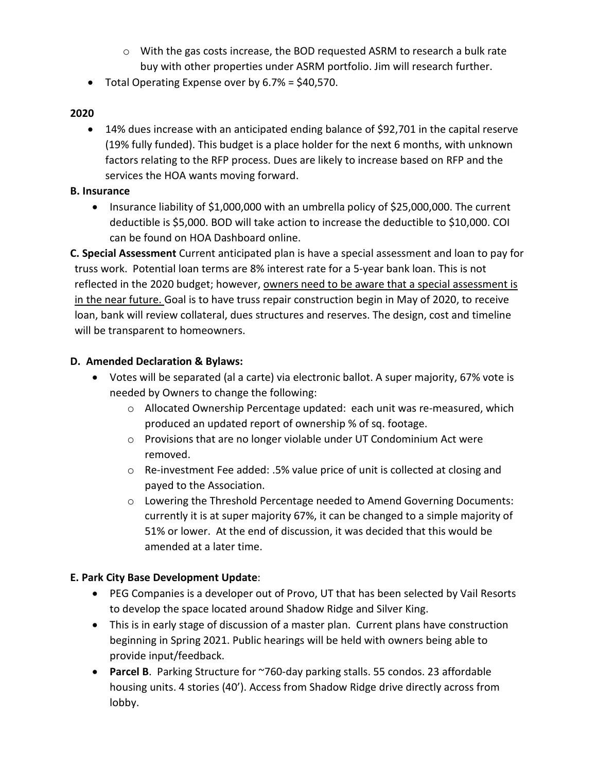- $\circ$  With the gas costs increase, the BOD requested ASRM to research a bulk rate buy with other properties under ASRM portfolio. Jim will research further.
- Total Operating Expense over by 6.7% = \$40,570.

### **2020**

• 14% dues increase with an anticipated ending balance of \$92,701 in the capital reserve (19% fully funded). This budget is a place holder for the next 6 months, with unknown factors relating to the RFP process. Dues are likely to increase based on RFP and the services the HOA wants moving forward.

#### **B. Insurance**

• Insurance liability of \$1,000,000 with an umbrella policy of \$25,000,000. The current deductible is \$5,000. BOD will take action to increase the deductible to \$10,000. COI can be found on HOA Dashboard online.

**C. Special Assessment** Current anticipated plan is have a special assessment and loan to pay for truss work. Potential loan terms are 8% interest rate for a 5-year bank loan. This is not reflected in the 2020 budget; however, owners need to be aware that a special assessment is in the near future. Goal is to have truss repair construction begin in May of 2020, to receive loan, bank will review collateral, dues structures and reserves. The design, cost and timeline will be transparent to homeowners.

### **D. Amended Declaration & Bylaws:**

- Votes will be separated (al a carte) via electronic ballot. A super majority, 67% vote is needed by Owners to change the following:
	- $\circ$  Allocated Ownership Percentage updated: each unit was re-measured, which produced an updated report of ownership % of sq. footage.
	- o Provisions that are no longer violable under UT Condominium Act were removed.
	- o Re-investment Fee added: .5% value price of unit is collected at closing and payed to the Association.
	- o Lowering the Threshold Percentage needed to Amend Governing Documents: currently it is at super majority 67%, it can be changed to a simple majority of 51% or lower. At the end of discussion, it was decided that this would be amended at a later time.

### **E. Park City Base Development Update**:

- PEG Companies is a developer out of Provo, UT that has been selected by Vail Resorts to develop the space located around Shadow Ridge and Silver King.
- This is in early stage of discussion of a master plan. Current plans have construction beginning in Spring 2021. Public hearings will be held with owners being able to provide input/feedback.
- **Parcel B**. Parking Structure for ~760-day parking stalls. 55 condos. 23 affordable housing units. 4 stories (40'). Access from Shadow Ridge drive directly across from lobby.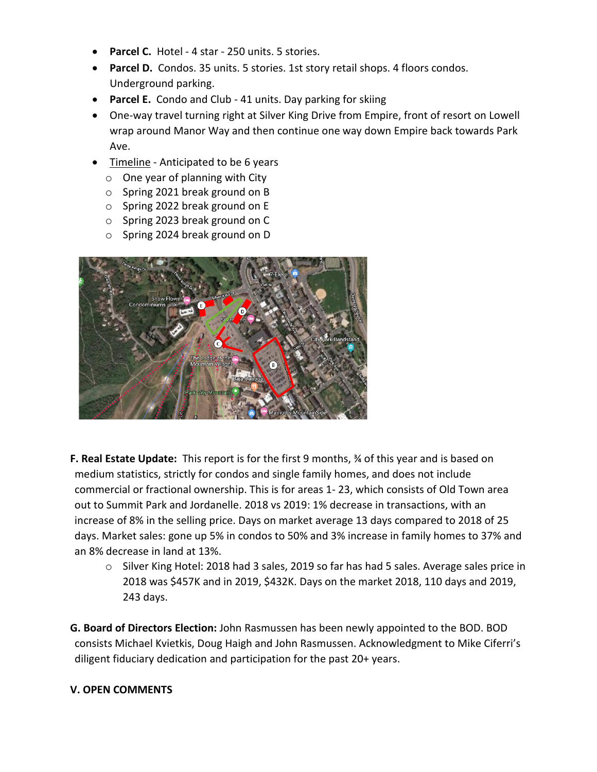- **Parcel C.** Hotel 4 star 250 units. 5 stories.
- **Parcel D.** Condos. 35 units. 5 stories. 1st story retail shops. 4 floors condos. Underground parking.
- **Parcel E.** Condo and Club 41 units. Day parking for skiing
- One-way travel turning right at Silver King Drive from Empire, front of resort on Lowell wrap around Manor Way and then continue one way down Empire back towards Park Ave.
- Timeline Anticipated to be 6 years
	- $\circ$  One year of planning with City
	- o Spring 2021 break ground on B
	- o Spring 2022 break ground on E
	- o Spring 2023 break ground on C
	- o Spring 2024 break ground on D



- **F. Real Estate Update:** This report is for the first 9 months, ¾ of this year and is based on medium statistics, strictly for condos and single family homes, and does not include commercial or fractional ownership. This is for areas 1- 23, which consists of Old Town area out to Summit Park and Jordanelle. 2018 vs 2019: 1% decrease in transactions, with an increase of 8% in the selling price. Days on market average 13 days compared to 2018 of 25 days. Market sales: gone up 5% in condos to 50% and 3% increase in family homes to 37% and an 8% decrease in land at 13%.
	- o Silver King Hotel: 2018 had 3 sales, 2019 so far has had 5 sales. Average sales price in 2018 was \$457K and in 2019, \$432K. Days on the market 2018, 110 days and 2019, 243 days.

**G. Board of Directors Election:** John Rasmussen has been newly appointed to the BOD. BOD consists Michael Kvietkis, Doug Haigh and John Rasmussen. Acknowledgment to Mike Ciferri's diligent fiduciary dedication and participation for the past 20+ years.

### **V. OPEN COMMENTS**